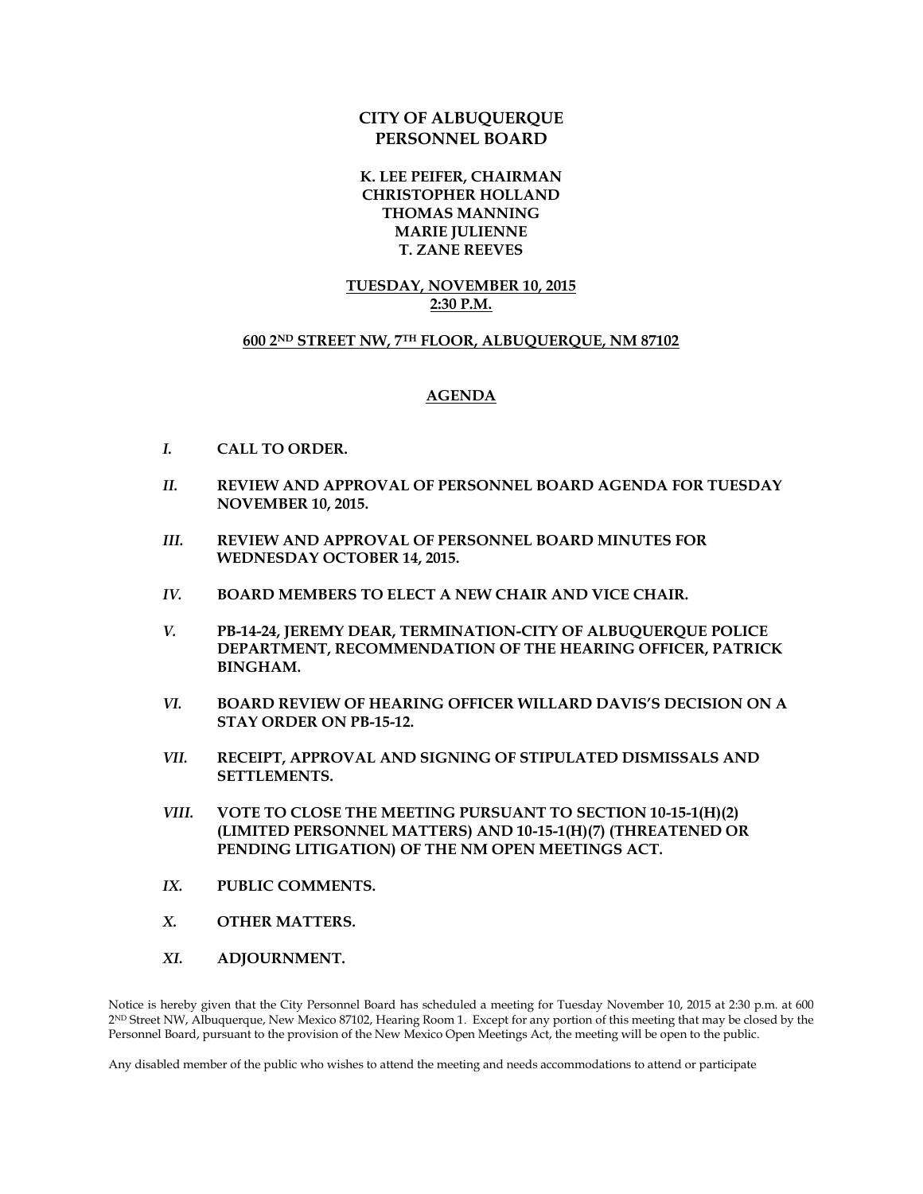## **CITY OF ALBUQUERQUE PERSONNEL BOARD**

**K. LEE PEIFER, CHAIRMAN CHRISTOPHER HOLLAND THOMAS MANNING MARIE JULIENNE T. ZANE REEVES**

## **TUESDAY, NOVEMBER 10, 2015 2:30 P.M.**

## **600 2ND STREET NW, 7TH FLOOR, ALBUQUERQUE, NM 87102**

## **AGENDA**

- *I.* **CALL TO ORDER.**
- *II.* **REVIEW AND APPROVAL OF PERSONNEL BOARD AGENDA FOR TUESDAY NOVEMBER 10, 2015.**
- *III.* **REVIEW AND APPROVAL OF PERSONNEL BOARD MINUTES FOR WEDNESDAY OCTOBER 14, 2015.**
- *IV.* **BOARD MEMBERS TO ELECT A NEW CHAIR AND VICE CHAIR.**
- *V.* **PB-14-24, JEREMY DEAR, TERMINATION-CITY OF ALBUQUERQUE POLICE DEPARTMENT, RECOMMENDATION OF THE HEARING OFFICER, PATRICK BINGHAM.**
- *VI.* **BOARD REVIEW OF HEARING OFFICER WILLARD DAVIS'S DECISION ON A STAY ORDER ON PB-15-12.**
- *VII.* **RECEIPT, APPROVAL AND SIGNING OF STIPULATED DISMISSALS AND SETTLEMENTS.**
- *VIII.* **VOTE TO CLOSE THE MEETING PURSUANT TO SECTION 10-15-1(H)(2) (LIMITED PERSONNEL MATTERS) AND 10-15-1(H)(7) (THREATENED OR PENDING LITIGATION) OF THE NM OPEN MEETINGS ACT.**
- *IX.* **PUBLIC COMMENTS.**
- *X.* **OTHER MATTERS.**
- *XI.* **ADJOURNMENT.**

Notice is hereby given that the City Personnel Board has scheduled a meeting for Tuesday November 10, 2015 at 2:30 p.m. at 600 2ND Street NW, Albuquerque, New Mexico 87102, Hearing Room 1. Except for any portion of this meeting that may be closed by the Personnel Board, pursuant to the provision of the New Mexico Open Meetings Act, the meeting will be open to the public.

Any disabled member of the public who wishes to attend the meeting and needs accommodations to attend or participate